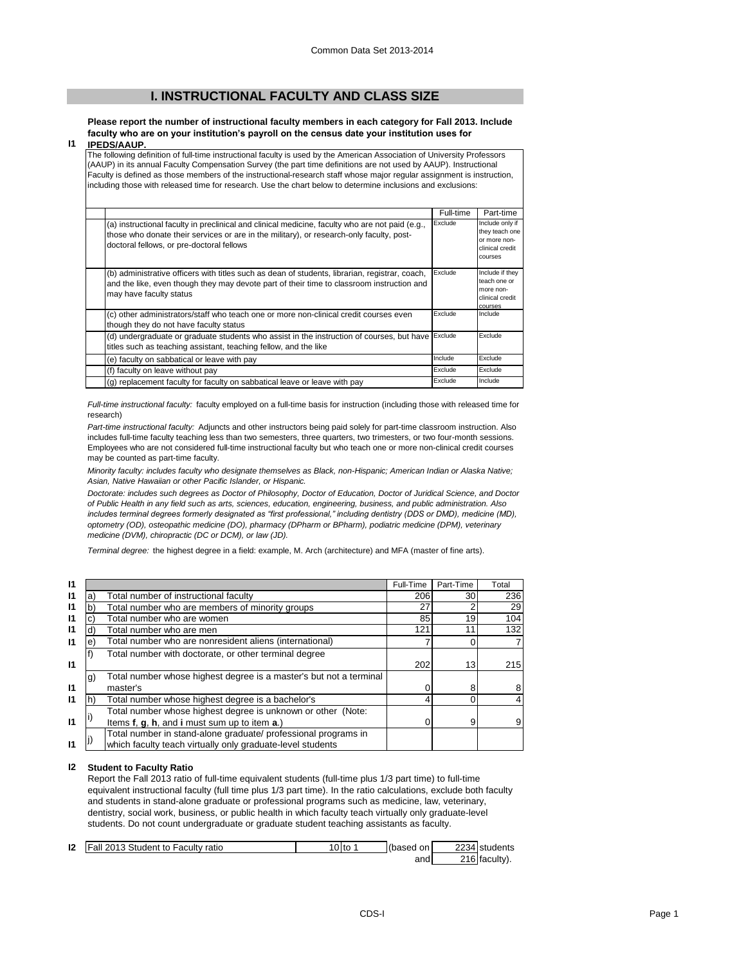# **I. INSTRUCTIONAL FACULTY AND CLASS SIZE**

**Please report the number of instructional faculty members in each category for Fall 2013. Include faculty who are on your institution's payroll on the census date your institution uses for IPEDS/AAUP.**

### **I1**

The following definition of full-time instructional faculty is used by the American Association of University Professors (AAUP) in its annual Faculty Compensation Survey (the part time definitions are not used by AAUP). Instructional Faculty is defined as those members of the instructional-research staff whose major regular assignment is instruction, including those with released time for research. Use the chart below to determine inclusions and exclusions:

|                                                                                                                                                                                                                                          | Full-time | Part-time                                                                       |
|------------------------------------------------------------------------------------------------------------------------------------------------------------------------------------------------------------------------------------------|-----------|---------------------------------------------------------------------------------|
| (a) instructional faculty in preclinical and clinical medicine, faculty who are not paid (e.g.,<br>those who donate their services or are in the military), or research-only faculty, post-<br>doctoral fellows, or pre-doctoral fellows | Exclude   | Include only if<br>they teach one<br>or more non-<br>clinical credit<br>courses |
| (b) administrative officers with titles such as dean of students, librarian, registrar, coach,<br>and the like, even though they may devote part of their time to classroom instruction and<br>may have faculty status                   | Exclude   | Include if they<br>teach one or<br>more non-<br>clinical credit<br>courses      |
| (c) other administrators/staff who teach one or more non-clinical credit courses even<br>though they do not have faculty status                                                                                                          | Exclude   | Include                                                                         |
| (d) undergraduate or graduate students who assist in the instruction of courses, but have<br>titles such as teaching assistant, teaching fellow, and the like                                                                            | Exclude   | Exclude                                                                         |
| (e) faculty on sabbatical or leave with pay                                                                                                                                                                                              | Include   | Exclude                                                                         |
| (f) faculty on leave without pay                                                                                                                                                                                                         | Exclude   | Exclude                                                                         |
| (q) replacement faculty for faculty on sabbatical leave or leave with pay                                                                                                                                                                | Exclude   | Include                                                                         |

*Full-time instructional faculty:* faculty employed on a full-time basis for instruction (including those with released time for research)

*Part-time instructional faculty:* Adjuncts and other instructors being paid solely for part-time classroom instruction. Also includes full-time faculty teaching less than two semesters, three quarters, two trimesters, or two four-month sessions. Employees who are not considered full-time instructional faculty but who teach one or more non-clinical credit courses may be counted as part-time faculty.

*Minority faculty: includes faculty who designate themselves as Black, non-Hispanic; American Indian or Alaska Native; Asian, Native Hawaiian or other Pacific Islander, or Hispanic.* 

*Doctorate: includes such degrees as Doctor of Philosophy, Doctor of Education, Doctor of Juridical Science, and Doctor of Public Health in any field such as arts, sciences, education, engineering, business, and public administration. Also*  includes terminal degrees formerly designated as "first professional," including dentistry (DDS or DMD), medicine (MD), *optometry (OD), osteopathic medicine (DO), pharmacy (DPharm or BPharm), podiatric medicine (DPM), veterinary medicine (DVM), chiropractic (DC or DCM), or law (JD).*

*Terminal degree:* the highest degree in a field: example, M. Arch (architecture) and MFA (master of fine arts).

| 11           |    |                                                                    | Full-Time | Part-Time | Total |
|--------------|----|--------------------------------------------------------------------|-----------|-----------|-------|
| 11           | a  | Total number of instructional faculty                              | 206       | 30        | 236   |
| 11           |    | Total number who are members of minority groups                    | 27        |           | 29    |
| 11           |    | Total number who are women                                         | 85        | 19        | 104   |
| 11           |    | Total number who are men                                           | 121       | 11        | 132   |
| $\mathbf{I}$ | e. | Total number who are nonresident aliens (international)            |           |           |       |
|              |    | Total number with doctorate, or other terminal degree              |           |           |       |
| 11           |    |                                                                    | 202       | 13        | 215   |
|              | (g | Total number whose highest degree is a master's but not a terminal |           |           |       |
| 11           |    | master's                                                           |           | 8         |       |
| 11           |    | Total number whose highest degree is a bachelor's                  |           | 0         |       |
|              |    | Total number whose highest degree is unknown or other (Note:       |           |           |       |
| $\mathbf{I}$ |    | Items f, g, h, and i must sum up to item a.)                       |           | 9         |       |
|              |    | Total number in stand-alone graduate/ professional programs in     |           |           |       |
| 11           |    | which faculty teach virtually only graduate-level students         |           |           |       |

### **I2 Student to Faculty Ratio**

Report the Fall 2013 ratio of full-time equivalent students (full-time plus 1/3 part time) to full-time equivalent instructional faculty (full time plus 1/3 part time). In the ratio calculations, exclude both faculty and students in stand-alone graduate or professional programs such as medicine, law, veterinary, dentistry, social work, business, or public health in which faculty teach virtually only graduate-level students. Do not count undergraduate or graduate student teaching assistants as faculty.

| 12 | Fall 2013 Student to Faculty ratio | $10$ to | (based on | 2234 students |
|----|------------------------------------|---------|-----------|---------------|
|    |                                    |         | and       | 216 faculty). |